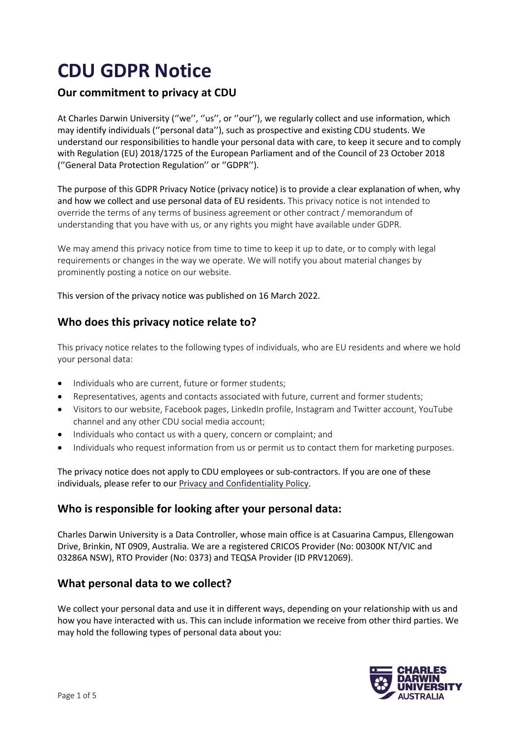# **CDU GDPR Notice**

# **Our commitment to privacy at CDU**

At Charles Darwin University ("we", "us", or "our"), we regularly collect and use information, which may identify individuals (''personal data''), such as prospective and existing CDU students. We understand our responsibilities to handle your personal data with care, to keep it secure and to comply with Regulation (EU) 2018/1725 of the European Parliament and of the Council of 23 October 2018 (''General Data Protection Regulation'' or ''GDPR'').

The purpose of this GDPR Privacy Notice (privacy notice) is to provide a clear explanation of when, why and how we collect and use personal data of EU residents. This privacy notice is not intended to override the terms of any terms of business agreement or other contract / memorandum of understanding that you have with us, or any rights you might have available under GDPR.

We may amend this privacy notice from time to time to keep it up to date, or to comply with legal requirements or changes in the way we operate. We will notify you about material changes by prominently posting a notice on our website.

This version of the privacy notice was published on 16 March 2022.

# **Who does this privacy notice relate to?**

This privacy notice relates to the following types of individuals, who are EU residents and where we hold your personal data:

- Individuals who are current, future or former students;
- Representatives, agents and contacts associated with future, current and former students;
- Visitors to our website, Facebook pages, LinkedIn profile, Instagram and Twitter account, YouTube channel and any other CDU social media account;
- Individuals who contact us with a query, concern or complaint; and
- Individuals who request information from us or permit us to contact them for marketing purposes.

The privacy notice does not apply to CDU employees or sub-contractors. If you are one of these individuals, please refer to our Privacy and Confidentiality Policy.

# **Who is responsible for looking after your personal data:**

Charles Darwin University is a Data Controller, whose main office is at Casuarina Campus, Ellengowan Drive, Brinkin, NT 0909, Australia. We are a registered CRICOS Provider (No: 00300K NT/VIC and 03286A NSW), RTO Provider (No: 0373) and TEQSA Provider (ID PRV12069).

# **What personal data to we collect?**

We collect your personal data and use it in different ways, depending on your relationship with us and how you have interacted with us. This can include information we receive from other third parties. We may hold the following types of personal data about you:

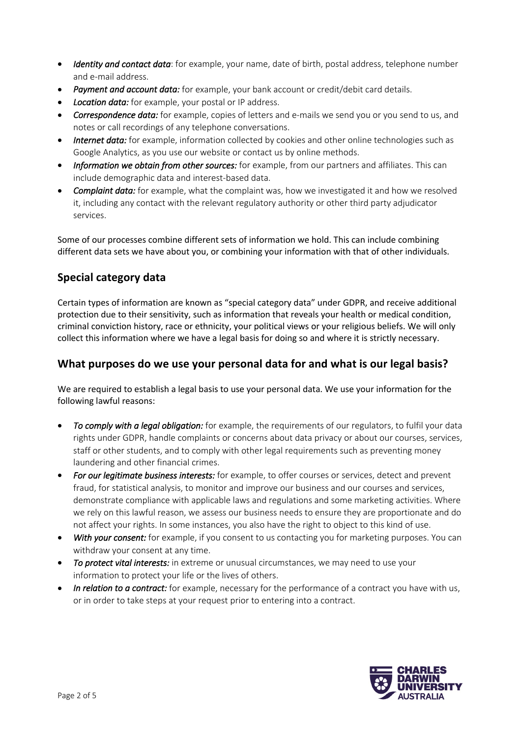- *Identity and contact data*: for example, your name, date of birth, postal address, telephone number and e-mail address.
- *Payment and account data:* for example, your bank account or credit/debit card details.
- *Location data:* for example, your postal or IP address.
- *Correspondence data:* for example, copies of letters and e-mails we send you or you send to us, and notes or call recordings of any telephone conversations.
- *Internet data:* for example, information collected by cookies and other online technologies such as Google Analytics, as you use our website or contact us by online methods.
- *Information we obtain from other sources:* for example, from our partners and affiliates. This can include demographic data and interest-based data.
- *Complaint data:* for example, what the complaint was, how we investigated it and how we resolved it, including any contact with the relevant regulatory authority or other third party adjudicator services.

Some of our processes combine different sets of information we hold. This can include combining different data sets we have about you, or combining your information with that of other individuals.

# **Special category data**

Certain types of information are known as "special category data" under GDPR, and receive additional protection due to their sensitivity, such as information that reveals your health or medical condition, criminal conviction history, race or ethnicity, your political views or your religious beliefs. We will only collect this information where we have a legal basis for doing so and where it is strictly necessary.

# **What purposes do we use your personal data for and what is our legal basis?**

We are required to establish a legal basis to use your personal data. We use your information for the following lawful reasons:

- *To comply with a legal obligation:* for example, the requirements of our regulators, to fulfil your data rights under GDPR, handle complaints or concerns about data privacy or about our courses, services, staff or other students, and to comply with other legal requirements such as preventing money laundering and other financial crimes.
- *For our legitimate business interests:* for example, to offer courses or services, detect and prevent fraud, for statistical analysis, to monitor and improve our business and our courses and services, demonstrate compliance with applicable laws and regulations and some marketing activities. Where we rely on this lawful reason, we assess our business needs to ensure they are proportionate and do not affect your rights. In some instances, you also have the right to object to this kind of use.
- *With your consent:* for example, if you consent to us contacting you for marketing purposes. You can withdraw your consent at any time.
- *To protect vital interests:* in extreme or unusual circumstances, we may need to use your information to protect your life or the lives of others.
- *In relation to a contract:* for example, necessary for the performance of a contract you have with us, or in order to take steps at your request prior to entering into a contract.

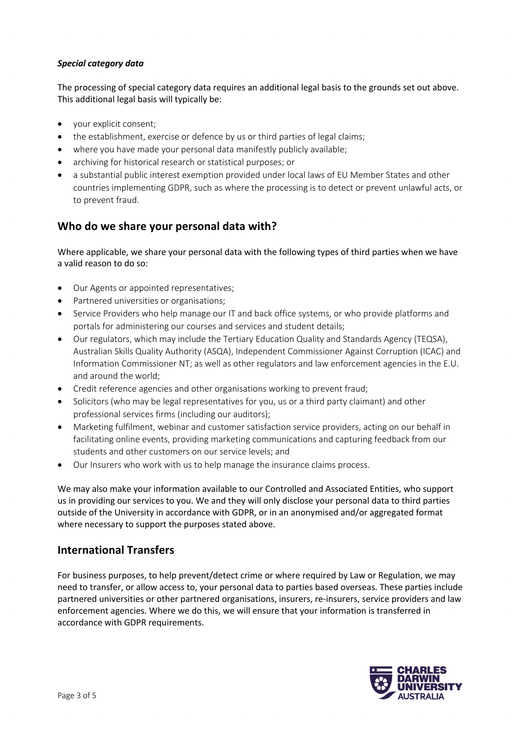#### *Special category data*

The processing of special category data requires an additional legal basis to the grounds set out above. This additional legal basis will typically be:

- your explicit consent;
- the establishment, exercise or defence by us or third parties of legal claims;
- where you have made your personal data manifestly publicly available;
- archiving for historical research or statistical purposes; or
- a substantial public interest exemption provided under local laws of EU Member States and other countries implementing GDPR, such as where the processing is to detect or prevent unlawful acts, or to prevent fraud.

### **Who do we share your personal data with?**

Where applicable, we share your personal data with the following types of third parties when we have a valid reason to do so:

- Our Agents or appointed representatives;
- Partnered universities or organisations;
- Service Providers who help manage our IT and back office systems, or who provide platforms and portals for administering our courses and services and student details;
- Our regulators, which may include the Tertiary Education Quality and Standards Agency (TEQSA), Australian Skills Quality Authority (ASQA), Independent Commissioner Against Corruption (ICAC) and Information Commissioner NT; as well as other regulators and law enforcement agencies in the E.U. and around the world;
- Credit reference agencies and other organisations working to prevent fraud;
- Solicitors (who may be legal representatives for you, us or a third party claimant) and other professional services firms (including our auditors);
- Marketing fulfilment, webinar and customer satisfaction service providers, acting on our behalf in facilitating online events, providing marketing communications and capturing feedback from our students and other customers on our service levels; and
- Our Insurers who work with us to help manage the insurance claims process.

We may also make your information available to our Controlled and Associated Entities, who support us in providing our services to you. We and they will only disclose your personal data to third parties outside of the University in accordance with GDPR, or in an anonymised and/or aggregated format where necessary to support the purposes stated above.

#### **International Transfers**

For business purposes, to help prevent/detect crime or where required by Law or Regulation, we may need to transfer, or allow access to, your personal data to parties based overseas. These parties include partnered universities or other partnered organisations, insurers, re-insurers, service providers and law enforcement agencies. Where we do this, we will ensure that your information is transferred in accordance with GDPR requirements.

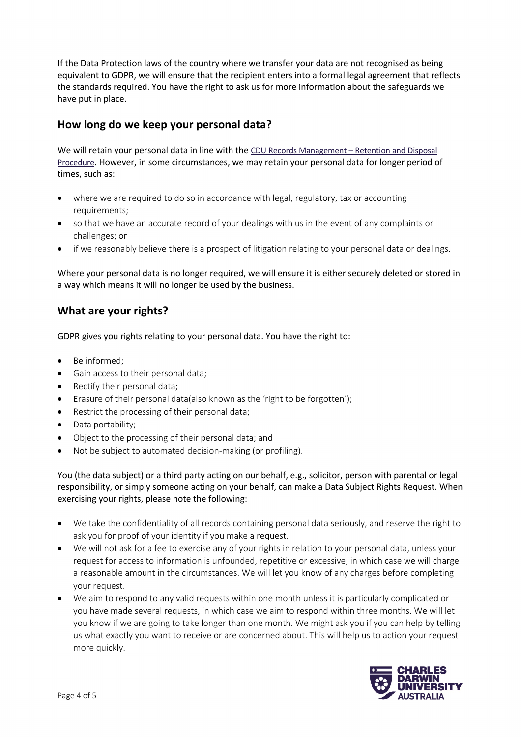If the Data Protection laws of the country where we transfer your data are not recognised as being equivalent to GDPR, we will ensure that the recipient enters into a formal legal agreement that reflects the standards required. You have the right to ask us for more information about the safeguards we have put in place.

# **How long do we keep your personal data?**

We will retain your personal data in line with the CDU Records Management - Retention and Disposal Procedure. However, in some circumstances, we may retain your personal data for longer period of times, such as:

- where we are required to do so in accordance with legal, regulatory, tax or accounting requirements;
- so that we have an accurate record of your dealings with us in the event of any complaints or challenges; or
- if we reasonably believe there is a prospect of litigation relating to your personal data or dealings.

Where your personal data is no longer required, we will ensure it is either securely deleted or stored in a way which means it will no longer be used by the business.

# **What are your rights?**

GDPR gives you rights relating to your personal data. You have the right to:

- Be informed;
- Gain access to their personal data;
- Rectify their personal data;
- Erasure of their personal data(also known as the 'right to be forgotten');
- Restrict the processing of their personal data;
- Data portability;
- Object to the processing of their personal data; and
- Not be subject to automated decision-making (or profiling).

You (the data subject) or a third party acting on our behalf, e.g., solicitor, person with parental or legal responsibility, or simply someone acting on your behalf, can make a Data Subject Rights Request. When exercising your rights, please note the following:

- We take the confidentiality of all records containing personal data seriously, and reserve the right to ask you for proof of your identity if you make a request.
- We will not ask for a fee to exercise any of your rights in relation to your personal data, unless your request for access to information is unfounded, repetitive or excessive, in which case we will charge a reasonable amount in the circumstances. We will let you know of any charges before completing your request.
- We aim to respond to any valid requests within one month unless it is particularly complicated or you have made several requests, in which case we aim to respond within three months. We will let you know if we are going to take longer than one month. We might ask you if you can help by telling us what exactly you want to receive or are concerned about. This will help us to action your request more quickly.